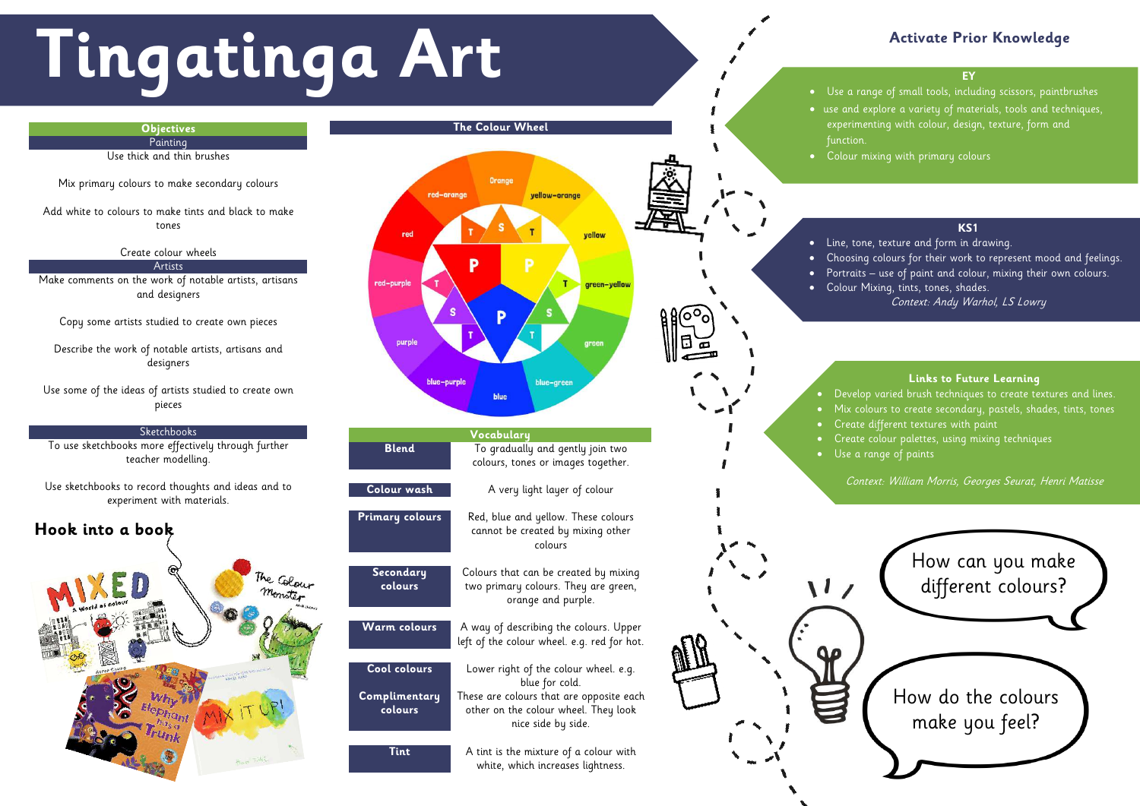# **Activate Prior Knowledge**



# **Tingatinga Art EXPLEMAGE ACTIVE ACtivate Prior**